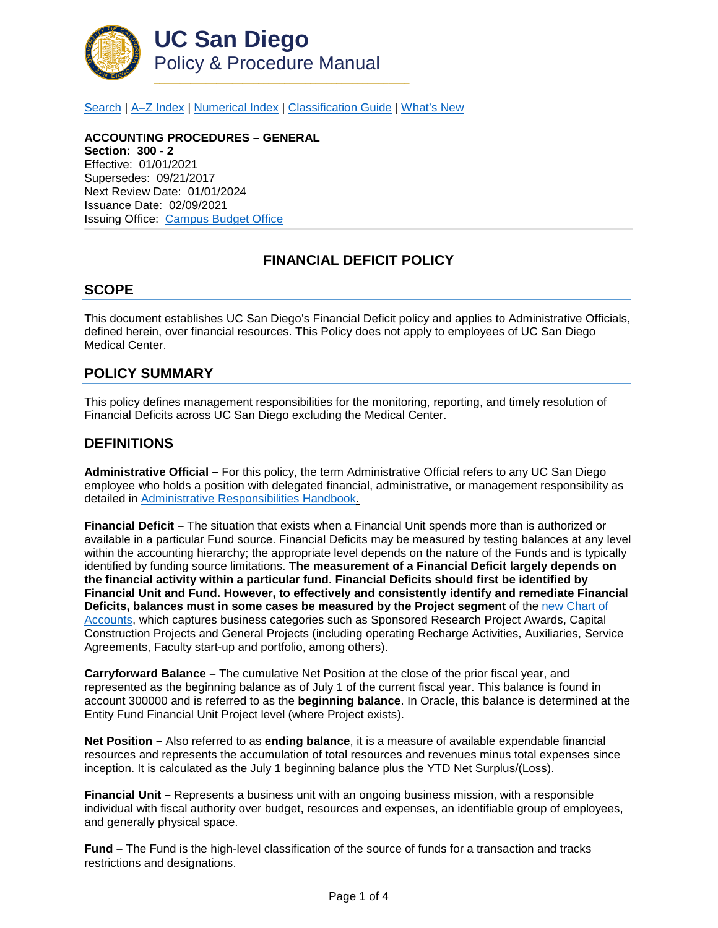

[Search](http://adminrecords.ucsd.edu/ppm/index.html) | A-Z Index | [Numerical Index](http://adminrecords.ucsd.edu/ppm/numerical.html) | [Classification Guide](http://adminrecords.ucsd.edu/ppm/alphabetical.html) | [What's New](http://adminrecords.ucsd.edu/ppm/whatsnew.html)

**ACCOUNTING PROCEDURES – GENERAL Section: 300 - 2** Effective: 01/01/2021 Supersedes: 09/21/2017 Next Review Date: 01/01/2024 Issuance Date: 02/09/2021 Issuing Office:[Campus Budget Office](https://blink.ucsd.edu/sponsor/cbo/index.html)

## **FINANCIAL DEFICIT POLICY**

#### **SCOPE**

This document establishes UC San Diego's Financial Deficit policy and applies to Administrative Officials, defined herein, over financial resources. This Policy does not apply to employees of UC San Diego Medical Center.

### **POLICY SUMMARY**

This policy defines management responsibilities for the monitoring, reporting, and timely resolution of Financial Deficits across UC San Diego excluding the Medical Center.

### **DEFINITIONS**

**Administrative Official –** For this policy, the term Administrative Official refers to any UC San Diego employee who holds a position with delegated financial, administrative, or management responsibility as detailed in [Administrative Responsibilities Handbook.](https://blink.ucsd.edu/_files/finance-tab/accountability/ARH_2008F_CH%20Revision.pdf)

**Financial Deficit –** The situation that exists when a Financial Unit spends more than is authorized or available in a particular Fund source. Financial Deficits may be measured by testing balances at any level within the accounting hierarchy; the appropriate level depends on the nature of the Funds and is typically identified by funding source limitations. **The measurement of a Financial Deficit largely depends on the financial activity within a particular fund. Financial Deficits should first be identified by Financial Unit and Fund. However, to effectively and consistently identify and remediate Financial Deficits, balances must in some cases be measured by the Project segment** of the [new Chart of](https://blink.ucsd.edu/_files/fis-UC%20San%20Diego%20COA%20User%20Guide%20final%20052920.pdf)  [Accounts,](https://blink.ucsd.edu/_files/fis-UC%20San%20Diego%20COA%20User%20Guide%20final%20052920.pdf) which captures business categories such as Sponsored Research Project Awards, Capital Construction Projects and General Projects (including operating Recharge Activities, Auxiliaries, Service Agreements, Faculty start-up and portfolio, among others).

**Carryforward Balance –** The cumulative Net Position at the close of the prior fiscal year, and represented as the beginning balance as of July 1 of the current fiscal year. This balance is found in account 300000 and is referred to as the **beginning balance**. In Oracle, this balance is determined at the Entity Fund Financial Unit Project level (where Project exists).

**Net Position –** Also referred to as **ending balance**, it is a measure of available expendable financial resources and represents the accumulation of total resources and revenues minus total expenses since inception. It is calculated as the July 1 beginning balance plus the YTD Net Surplus/(Loss).

**Financial Unit –** Represents a business unit with an ongoing business mission, with a responsible individual with fiscal authority over budget, resources and expenses, an identifiable group of employees, and generally physical space.

**Fund –** The Fund is the high-level classification of the source of funds for a transaction and tracks restrictions and designations.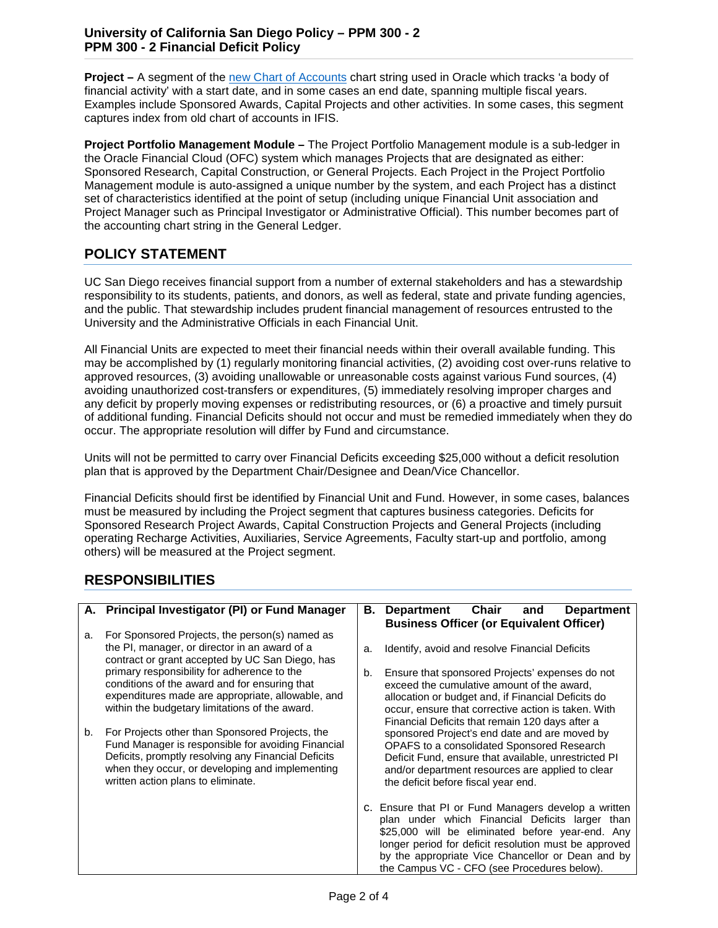### **University of California San Diego Policy – PPM 300 - 2 PPM 300 - 2 Financial Deficit Policy**

**Project –** A segment of the [new Chart of Accounts](https://blink.ucsd.edu/_files/fis-UC%20San%20Diego%20COA%20User%20Guide%20final%20052920.pdf) chart string used in Oracle which tracks 'a body of financial activity' with a start date, and in some cases an end date, spanning multiple fiscal years. Examples include Sponsored Awards, Capital Projects and other activities. In some cases, this segment captures index from old chart of accounts in IFIS.

**Project Portfolio Management Module –** The Project Portfolio Management module is a sub-ledger in the Oracle Financial Cloud (OFC) system which manages Projects that are designated as either: Sponsored Research, Capital Construction, or General Projects. Each Project in the Project Portfolio Management module is auto-assigned a unique number by the system, and each Project has a distinct set of characteristics identified at the point of setup (including unique Financial Unit association and Project Manager such as Principal Investigator or Administrative Official). This number becomes part of the accounting chart string in the General Ledger.

# **POLICY STATEMENT**

UC San Diego receives financial support from a number of external stakeholders and has a stewardship responsibility to its students, patients, and donors, as well as federal, state and private funding agencies, and the public. That stewardship includes prudent financial management of resources entrusted to the University and the Administrative Officials in each Financial Unit.

All Financial Units are expected to meet their financial needs within their overall available funding. This may be accomplished by (1) regularly monitoring financial activities, (2) avoiding cost over-runs relative to approved resources, (3) avoiding unallowable or unreasonable costs against various Fund sources, (4) avoiding unauthorized cost-transfers or expenditures, (5) immediately resolving improper charges and any deficit by properly moving expenses or redistributing resources, or (6) a proactive and timely pursuit of additional funding. Financial Deficits should not occur and must be remedied immediately when they do occur. The appropriate resolution will differ by Fund and circumstance.

Units will not be permitted to carry over Financial Deficits exceeding \$25,000 without a deficit resolution plan that is approved by the Department Chair/Designee and Dean/Vice Chancellor.

Financial Deficits should first be identified by Financial Unit and Fund. However, in some cases, balances must be measured by including the Project segment that captures business categories. Deficits for Sponsored Research Project Awards, Capital Construction Projects and General Projects (including operating Recharge Activities, Auxiliaries, Service Agreements, Faculty start-up and portfolio, among others) will be measured at the Project segment.

# **RESPONSIBILITIES**

|    | A. Principal Investigator (PI) or Fund Manager                                                                                                                                                                                                        | В. | Chair<br>and<br><b>Department</b><br><b>Department</b>                                                                                                                                                                                                                                                                   |
|----|-------------------------------------------------------------------------------------------------------------------------------------------------------------------------------------------------------------------------------------------------------|----|--------------------------------------------------------------------------------------------------------------------------------------------------------------------------------------------------------------------------------------------------------------------------------------------------------------------------|
|    |                                                                                                                                                                                                                                                       |    | <b>Business Officer (or Equivalent Officer)</b>                                                                                                                                                                                                                                                                          |
| a. | For Sponsored Projects, the person(s) named as                                                                                                                                                                                                        |    |                                                                                                                                                                                                                                                                                                                          |
|    | the PI, manager, or director in an award of a<br>contract or grant accepted by UC San Diego, has                                                                                                                                                      | a. | Identify, avoid and resolve Financial Deficits                                                                                                                                                                                                                                                                           |
|    | primary responsibility for adherence to the<br>conditions of the award and for ensuring that<br>expenditures made are appropriate, allowable, and<br>within the budgetary limitations of the award.                                                   | b. | Ensure that sponsored Projects' expenses do not<br>exceed the cumulative amount of the award,<br>allocation or budget and, if Financial Deficits do<br>occur, ensure that corrective action is taken. With<br>Financial Deficits that remain 120 days after a                                                            |
| b. | For Projects other than Sponsored Projects, the<br>Fund Manager is responsible for avoiding Financial<br>Deficits, promptly resolving any Financial Deficits<br>when they occur, or developing and implementing<br>written action plans to eliminate. |    | sponsored Project's end date and are moved by<br>OPAFS to a consolidated Sponsored Research<br>Deficit Fund, ensure that available, unrestricted PI<br>and/or department resources are applied to clear<br>the deficit before fiscal year end.                                                                           |
|    |                                                                                                                                                                                                                                                       |    | c. Ensure that PI or Fund Managers develop a written<br>plan under which Financial Deficits larger than<br>\$25,000 will be eliminated before year-end. Any<br>longer period for deficit resolution must be approved<br>by the appropriate Vice Chancellor or Dean and by<br>the Campus VC - CFO (see Procedures below). |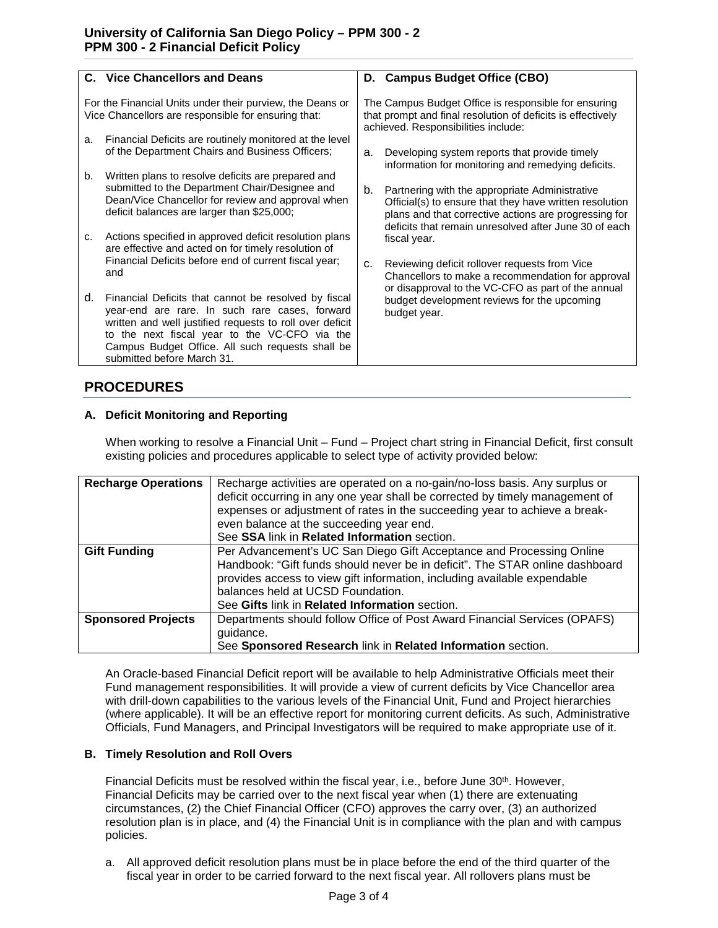|                                                                                                                  | <b>C.</b> Vice Chancellors and Deans                                                                                                                                                                                                                                                                  |                                                                                                                                                            | D. Campus Budget Office (CBO)                                                                                                                                                                                               |
|------------------------------------------------------------------------------------------------------------------|-------------------------------------------------------------------------------------------------------------------------------------------------------------------------------------------------------------------------------------------------------------------------------------------------------|------------------------------------------------------------------------------------------------------------------------------------------------------------|-----------------------------------------------------------------------------------------------------------------------------------------------------------------------------------------------------------------------------|
| For the Financial Units under their purview, the Deans or<br>Vice Chancellors are responsible for ensuring that: |                                                                                                                                                                                                                                                                                                       | The Campus Budget Office is responsible for ensuring<br>that prompt and final resolution of deficits is effectively<br>achieved. Responsibilities include: |                                                                                                                                                                                                                             |
| a.                                                                                                               | Financial Deficits are routinely monitored at the level<br>of the Department Chairs and Business Officers;                                                                                                                                                                                            | a.                                                                                                                                                         | Developing system reports that provide timely<br>information for monitoring and remedying deficits.                                                                                                                         |
| b.                                                                                                               | Written plans to resolve deficits are prepared and<br>submitted to the Department Chair/Designee and<br>Dean/Vice Chancellor for review and approval when<br>deficit balances are larger than \$25,000;                                                                                               | b.                                                                                                                                                         | Partnering with the appropriate Administrative<br>Official(s) to ensure that they have written resolution<br>plans and that corrective actions are progressing for<br>deficits that remain unresolved after June 30 of each |
| c.                                                                                                               | Actions specified in approved deficit resolution plans<br>are effective and acted on for timely resolution of                                                                                                                                                                                         |                                                                                                                                                            | fiscal year.                                                                                                                                                                                                                |
|                                                                                                                  | Financial Deficits before end of current fiscal year;<br>and                                                                                                                                                                                                                                          | C.                                                                                                                                                         | Reviewing deficit rollover requests from Vice<br>Chancellors to make a recommendation for approval<br>or disapproval to the VC-CFO as part of the annual                                                                    |
| d.                                                                                                               | Financial Deficits that cannot be resolved by fiscal<br>year-end are rare. In such rare cases, forward<br>written and well justified requests to roll over deficit<br>to the next fiscal year to the VC-CFO via the<br>Campus Budget Office. All such requests shall be<br>submitted before March 31. |                                                                                                                                                            | budget development reviews for the upcoming<br>budget year.                                                                                                                                                                 |

## **PROCEDURES**

### **A. Deficit Monitoring and Reporting**

When working to resolve a Financial Unit – Fund – Project chart string in Financial Deficit, first consult existing policies and procedures applicable to select type of activity provided below:

| <b>Recharge Operations</b> | Recharge activities are operated on a no-gain/no-loss basis. Any surplus or<br>deficit occurring in any one year shall be corrected by timely management of<br>expenses or adjustment of rates in the succeeding year to achieve a break-<br>even balance at the succeeding year end.<br>See SSA link in Related Information section. |
|----------------------------|---------------------------------------------------------------------------------------------------------------------------------------------------------------------------------------------------------------------------------------------------------------------------------------------------------------------------------------|
| <b>Gift Funding</b>        | Per Advancement's UC San Diego Gift Acceptance and Processing Online<br>Handbook: "Gift funds should never be in deficit". The STAR online dashboard<br>provides access to view gift information, including available expendable<br>balances held at UCSD Foundation.<br>See Gifts link in Related Information section.               |
| <b>Sponsored Projects</b>  | Departments should follow Office of Post Award Financial Services (OPAFS)<br>guidance.<br>See Sponsored Research link in Related Information section.                                                                                                                                                                                 |

An Oracle-based Financial Deficit report will be available to help Administrative Officials meet their Fund management responsibilities. It will provide a view of current deficits by Vice Chancellor area with drill-down capabilities to the various levels of the Financial Unit, Fund and Project hierarchies (where applicable). It will be an effective report for monitoring current deficits. As such, Administrative Officials, Fund Managers, and Principal Investigators will be required to make appropriate use of it.

#### **B. Timely Resolution and Roll Overs**

Financial Deficits must be resolved within the fiscal year, i.e., before June  $30<sup>th</sup>$ . However, Financial Deficits may be carried over to the next fiscal year when (1) there are extenuating circumstances, (2) the Chief Financial Officer (CFO) approves the carry over, (3) an authorized resolution plan is in place, and (4) the Financial Unit is in compliance with the plan and with campus policies.

a. All approved deficit resolution plans must be in place before the end of the third quarter of the fiscal year in order to be carried forward to the next fiscal year. All rollovers plans must be